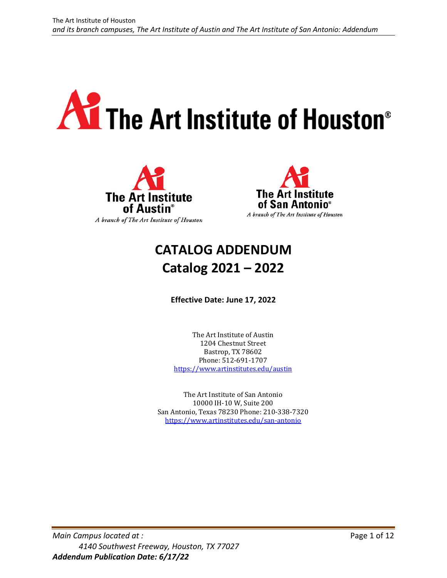# **All The Art Institute of Houston®**





# **CATALOG ADDENDUM Catalog 2021 – 2022**

**Effective Date: June 17, 2022** 

The Art Institute of Austin 1204 Chestnut Street Bastrop, TX 78602 Phone: 512-691-1707 <https://www.artinstitutes.edu/austin>

The Art Institute of San Antonio 10000 IH-10 W, Suite 200 San Antonio, Texas 78230 Phone: 210-338-7320 <https://www.artinstitutes.edu/san-antonio>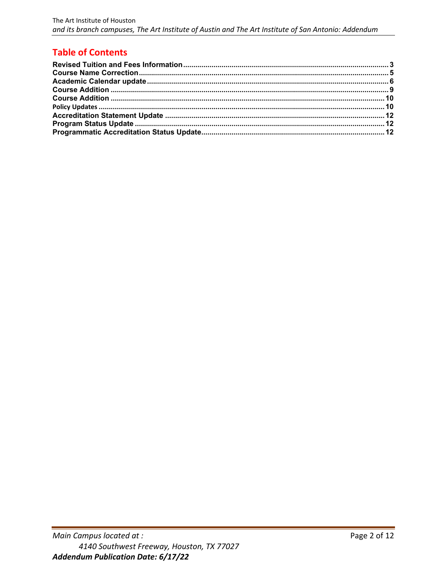# **Table of Contents**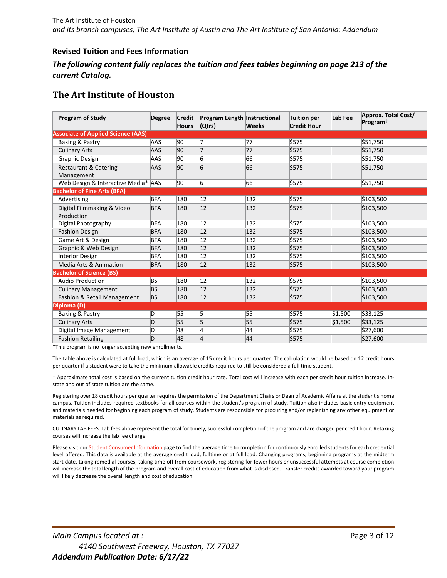### <span id="page-2-0"></span>**Revised Tuition and Fees Information**

### *The following content fully replaces the tuition and fees tables beginning on page 213 of the current Catalog.*

### **The Art Institute of Houston**

| <b>Program of Study</b>                        | <b>Degree</b> | <b>Credit</b><br><b>Hours</b> | Program Length Instructional<br>(Qtrs) | <b>Weeks</b> | <b>Tuition per</b><br><b>Credit Hour</b> | Lab Fee | Approx. Total Cost/<br>Program <sup>+</sup> |
|------------------------------------------------|---------------|-------------------------------|----------------------------------------|--------------|------------------------------------------|---------|---------------------------------------------|
| <b>Associate of Applied Science (AAS)</b>      |               |                               |                                        |              |                                          |         |                                             |
| Baking & Pastry                                | AAS           | 90                            | 17                                     | 77           | \$575                                    |         | \$51,750                                    |
| <b>Culinary Arts</b>                           | AAS           | 90                            | 17                                     | 77           | \$575                                    |         | \$51,750                                    |
| Graphic Design                                 | AAS           | 90                            | 6                                      | 66           | \$575                                    |         | \$51,750                                    |
| <b>Restaurant &amp; Catering</b><br>Management | AAS           | 90                            | 6                                      | 66           | \$575                                    |         | \$51,750                                    |
| Web Design & Interactive Media* AAS            |               | 90                            | 6                                      | 66           | \$575                                    |         | \$51,750                                    |
| <b>Bachelor of Fine Arts (BFA)</b>             |               |                               |                                        |              |                                          |         |                                             |
| Advertising                                    | <b>BFA</b>    | 180                           | $ 12\rangle$                           | 132          | \$575                                    |         | \$103,500                                   |
| Digital Filmmaking & Video<br>Production       | <b>BFA</b>    | 180                           | $ 12\rangle$                           | 132          | \$575                                    |         | \$103,500                                   |
| Digital Photography                            | <b>BFA</b>    | 180                           | $ 12\rangle$                           | 132          | \$575                                    |         | 5103,500                                    |
| <b>Fashion Design</b>                          | <b>BFA</b>    | 180                           | $ 12\rangle$                           | 132          | \$575                                    |         | \$103,500                                   |
| Game Art & Design                              | <b>BFA</b>    | 180                           | $ 12\rangle$                           | 132          | \$575                                    |         | \$103,500                                   |
| Graphic & Web Design                           | <b>BFA</b>    | 180                           | 12                                     | 132          | \$575                                    |         | \$103,500                                   |
| <b>Interior Design</b>                         | <b>BFA</b>    | 180                           | $ 12\rangle$                           | 132          | \$575                                    |         | \$103,500                                   |
| Media Arts & Animation                         | <b>BFA</b>    | 180                           | $ 12\rangle$                           | 132          | \$575                                    |         | \$103,500                                   |
| <b>Bachelor of Science (BS)</b>                |               |                               |                                        |              |                                          |         |                                             |
| Audio Production                               | ΒS            | 180                           | $ 12\rangle$                           | 132          | \$575                                    |         | \$103,500                                   |
| <b>Culinary Management</b>                     | BS            | 180                           | 12                                     | 132          | \$575                                    |         | \$103,500                                   |
| Fashion & Retail Management                    | BS            | 180                           | $ 12\rangle$                           | 132          | \$575                                    |         | \$103,500                                   |
| Diploma (D)                                    |               |                               |                                        |              |                                          |         |                                             |
| Baking & Pastry                                | D             | 55                            | 5                                      | 55           | 5575                                     | \$1,500 | \$33,125                                    |
| <b>Culinary Arts</b>                           | D             | 55                            | 5                                      | 55           | \$575                                    | \$1,500 | \$33,125                                    |
| Digital Image Management                       | D             | 48                            | 4                                      | 44           | \$575                                    |         | \$27,600                                    |
| <b>Fashion Retailing</b>                       | D             | 48                            | 4                                      | 44           | \$575                                    |         | \$27,600                                    |

\*This program is no longer accepting new enrollments.

The table above is calculated at full load, which is an average of 15 credit hours per quarter. The calculation would be based on 12 credit hours per quarter if a student were to take the minimum allowable credits required to still be considered a full time student.

† Approximate total cost is based on the current tuition credit hour rate. Total cost will increase with each per credit hour tuition increase. Instate and out of state tuition are the same.

Registering over 18 credit hours per quarter requires the permission of the Department Chairs or Dean of Academic Affairs at the student's home campus. Tuition includes required textbooks for all courses within the student's program of study. Tuition also includes basic entry equipment and materials needed for beginning each program of study. Students are responsible for procuring and/or replenishing any other equipment or materials as required.

CULINARY LAB FEES: Lab fees above represent the total for timely, successful completion of the program and are charged per credit hour. Retaking courses will increase the lab fee charge.

Please visit our **Student Consumer Information** page to find the average time to completion for continuously enrolled students for each credential level offered. This data is available at the average credit load, fulltime or at full load. Changing programs, beginning programs at the midterm start date, taking remedial courses, taking time off from coursework, registering for fewer hours or unsuccessful attempts at course completion will increase the total length of the program and overall cost of education from what is disclosed. Transfer credits awarded toward your program will likely decrease the overall length and cost of education.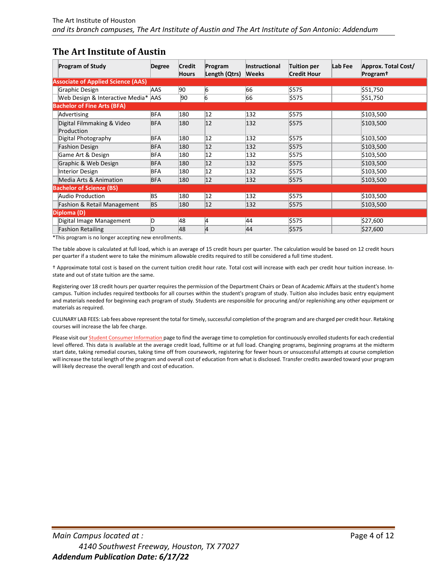# **The Art Institute of Austin**

| <b>Program of Study</b>                   | <b>Degree</b> | <b>Credit</b><br><b>Hours</b> | Program<br>Length (Qtrs) | <b>Instructional</b><br><b>Weeks</b> | <b>Tuition per</b><br><b>Credit Hour</b> | Lab Fee | Approx. Total Cost/<br>Program <sup>†</sup> |
|-------------------------------------------|---------------|-------------------------------|--------------------------|--------------------------------------|------------------------------------------|---------|---------------------------------------------|
| <b>Associate of Applied Science (AAS)</b> |               |                               |                          |                                      |                                          |         |                                             |
| Graphic Design                            | AAS           | 90                            | 6                        | 66                                   | \$575                                    |         | \$51,750                                    |
| Web Design & Interactive Media* AAS       |               | 90                            | 6                        | 66                                   | \$575                                    |         | \$51,750                                    |
| <b>Bachelor of Fine Arts (BFA)</b>        |               |                               |                          |                                      |                                          |         |                                             |
| Advertising                               | BFA           | 180                           | 12                       | 132                                  | \$575                                    |         | \$103,500                                   |
| Digital Filmmaking & Video                | <b>BFA</b>    | 180                           | $ 12\rangle$             | 132                                  | \$575                                    |         | \$103,500                                   |
| Production                                |               |                               |                          |                                      |                                          |         |                                             |
| Digital Photography                       | <b>BFA</b>    | 180                           | 12                       | 132                                  | \$575                                    |         | \$103,500                                   |
| <b>Fashion Design</b>                     | <b>BFA</b>    | 180                           | 12                       | 132                                  | \$575                                    |         | \$103,500                                   |
| Game Art & Design                         | <b>BFA</b>    | 180                           | 12                       | 132                                  | \$575                                    |         | \$103,500                                   |
| Graphic & Web Design                      | <b>BFA</b>    | 180                           | $ 12\rangle$             | 132                                  | \$575                                    |         | \$103,500                                   |
| <b>Interior Design</b>                    | BFA           | 180                           | 12                       | 132                                  | \$575                                    |         | \$103,500                                   |
| Media Arts & Animation                    | <b>BFA</b>    | 180                           | $ 12\rangle$             | 132                                  | \$575                                    |         | \$103,500                                   |
| <b>Bachelor of Science (BS)</b>           |               |                               |                          |                                      |                                          |         |                                             |
| Audio Production                          | BS            | 180                           | 12                       | 132                                  | \$575                                    |         | \$103,500                                   |
| <b>Fashion &amp; Retail Management</b>    | <b>BS</b>     | 180                           | $ 12\rangle$             | 132                                  | \$575                                    |         | \$103,500                                   |
| Diploma (D)                               |               |                               |                          |                                      |                                          |         |                                             |
| Digital Image Management                  | D             | 48                            | 4                        | 44                                   | \$575                                    |         | \$27,600                                    |
| <b>Fashion Retailing</b>                  | D             | 48                            | 4                        | 44                                   | \$575                                    |         | \$27,600                                    |

\*This program is no longer accepting new enrollments.

The table above is calculated at full load, which is an average of 15 credit hours per quarter. The calculation would be based on 12 credit hours per quarter if a student were to take the minimum allowable credits required to still be considered a full time student.

† Approximate total cost is based on the current tuition credit hour rate. Total cost will increase with each per credit hour tuition increase. Instate and out of state tuition are the same.

Registering over 18 credit hours per quarter requires the permission of the Department Chairs or Dean of Academic Affairs at the student's home campus. Tuition includes required textbooks for all courses within the student's program of study. Tuition also includes basic entry equipment and materials needed for beginning each program of study. Students are responsible for procuring and/or replenishing any other equipment or materials as required.

CULINARY LAB FEES: Lab fees above represent the total for timely, successful completion of the program and are charged per credit hour. Retaking courses will increase the lab fee charge.

Please visit our *Student Consumer Information* page to find the average time to completion for continuously enrolled students for each credential level offered. This data is available at the average credit load, fulltime or at full load. Changing programs, beginning programs at the midterm start date, taking remedial courses, taking time off from coursework, registering for fewer hours or unsuccessful attempts at course completion will increase the total length of the program and overall cost of education from what is disclosed. Transfer credits awarded toward your program will likely decrease the overall length and cost of education.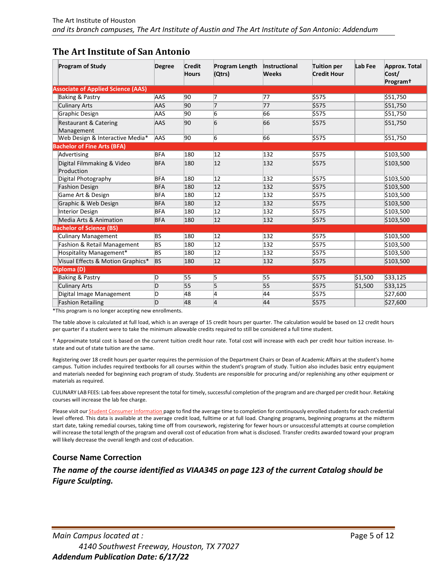# **The Art Institute of San Antonio**

| <b>Program of Study</b>                        | <b>Degree</b> | <b>Credit</b><br><b>Hours</b> | Program Length<br>(Qtrs) | Instructional<br><b>Weeks</b> | <b>Tuition per</b><br><b>Credit Hour</b> | Lab Fee | Approx. Total<br>Cost/<br>Program <sup>+</sup> |
|------------------------------------------------|---------------|-------------------------------|--------------------------|-------------------------------|------------------------------------------|---------|------------------------------------------------|
| <b>Associate of Applied Science (AAS)</b>      |               |                               |                          |                               |                                          |         |                                                |
| <b>Baking &amp; Pastry</b>                     | AAS           | 90                            | 7                        | 77                            | \$575                                    |         | \$51,750                                       |
| <b>Culinary Arts</b>                           | AAS           | 90                            | 7                        | 77                            | \$575                                    |         | \$51,750                                       |
| Graphic Design                                 | AAS           | 90                            | 6                        | 66                            | \$575                                    |         | \$51,750                                       |
| <b>Restaurant &amp; Catering</b><br>Management | AAS           | 90                            | $\overline{6}$           | 66                            | \$575                                    |         | \$51,750                                       |
| Web Design & Interactive Media*                | <b>AAS</b>    | 90                            | 6                        | 66                            | \$575                                    |         | \$51,750                                       |
| <b>Bachelor of Fine Arts (BFA)</b>             |               |                               |                          |                               |                                          |         |                                                |
| Advertising                                    | <b>BFA</b>    | 180                           | 12                       | 132                           | \$575                                    |         | \$103,500                                      |
| Digital Filmmaking & Video<br>Production       | <b>BFA</b>    | 180                           | 12                       | 132                           | \$575                                    |         | \$103,500                                      |
| Digital Photography                            | <b>BFA</b>    | 180                           | 12                       | 132                           | \$575                                    |         | \$103,500                                      |
| <b>Fashion Design</b>                          | <b>BFA</b>    | 180                           | 12                       | 132                           | \$575                                    |         | \$103,500                                      |
| Game Art & Design                              | <b>BFA</b>    | 180                           | 12                       | 132                           | \$575                                    |         | \$103,500                                      |
| Graphic & Web Design                           | <b>BFA</b>    | 180                           | 12                       | 132                           | \$575                                    |         | \$103,500                                      |
| Interior Design                                | <b>BFA</b>    | 180                           | 12                       | 132                           | \$575                                    |         | \$103,500                                      |
| Media Arts & Animation                         | <b>BFA</b>    | 180                           | $ 12\rangle$             | 132                           | \$575                                    |         | \$103,500                                      |
| <b>Bachelor of Science (BS)</b>                |               |                               |                          |                               |                                          |         |                                                |
| <b>Culinary Management</b>                     | BS            | 180                           | 12                       | 132                           | \$575                                    |         | \$103,500                                      |
| Fashion & Retail Management                    | BS            | 180                           | 12                       | 132                           | \$575                                    |         | \$103,500                                      |
| Hospitality Management*                        | BS            | 180                           | 12                       | 132                           | \$575                                    |         | \$103,500                                      |
| Visual Effects & Motion Graphics*              | <b>BS</b>     | 180                           | 12                       | 132                           | \$575                                    |         | \$103,500                                      |
| Diploma (D)                                    |               |                               |                          |                               |                                          |         |                                                |
| <b>Baking &amp; Pastry</b>                     | D             | 55                            | 5                        | 55                            | \$575                                    | \$1,500 | \$33,125                                       |
| <b>Culinary Arts</b>                           | D             | 55                            | 5                        | 55                            | \$575                                    | \$1,500 | \$33,125                                       |
| Digital Image Management                       | ID            | 48                            | 4                        | 44                            | \$575                                    |         | \$27,600                                       |
| <b>Fashion Retailing</b>                       | D             | 48                            | 4                        | 44                            | \$575                                    |         | \$27,600                                       |

\*This program is no longer accepting new enrollments.

The table above is calculated at full load, which is an average of 15 credit hours per quarter. The calculation would be based on 12 credit hours per quarter if a student were to take the minimum allowable credits required to still be considered a full time student.

† Approximate total cost is based on the current tuition credit hour rate. Total cost will increase with each per credit hour tuition increase. Instate and out of state tuition are the same.

Registering over 18 credit hours per quarter requires the permission of the Department Chairs or Dean of Academic Affairs at the student's home campus. Tuition includes required textbooks for all courses within the student's program of study. Tuition also includes basic entry equipment and materials needed for beginning each program of study. Students are responsible for procuring and/or replenishing any other equipment or materials as required.

CULINARY LAB FEES: Lab fees above represent the total for timely, successful completion of the program and are charged per credit hour. Retaking courses will increase the lab fee charge.

Please visit ou[r Student Consumer Information p](https://www.artinstitutes.edu/dallas/student-consumer-information/)age to find the average time to completion for continuously enrolled students for each credential level offered. This data is available at the average credit load, fulltime or at full load. Changing programs, beginning programs at the midterm start date, taking remedial courses, taking time off from coursework, registering for fewer hours or unsuccessful attempts at course completion will increase the total length of the program and overall cost of education from what is disclosed. Transfer credits awarded toward your program will likely decrease the overall length and cost of education.

### <span id="page-4-0"></span>**Course Name Correction**

*The name of the course identified as VIAA345 on page 123 of the current Catalog should be Figure Sculpting.*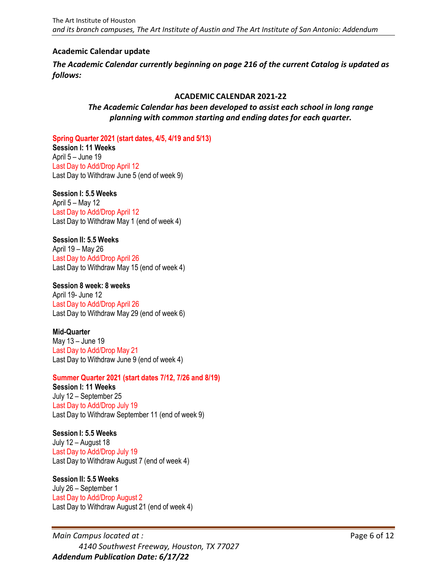### <span id="page-5-0"></span>**Academic Calendar update**

*The Academic Calendar currently beginning on page 216 of the current Catalog is updated as follows:*

### **ACADEMIC CALENDAR 2021-22**

### *The Academic Calendar has been developed to assist each school in long range planning with common starting and ending dates for each quarter.*

**Spring Quarter 2021 (start dates, 4/5, 4/19 and 5/13)**

**Session I: 11 Weeks** April 5 – June 19 Last Day to Add/Drop April 12 Last Day to Withdraw June 5 (end of week 9)

### **Session I: 5.5 Weeks**

April 5 – May 12 Last Day to Add/Drop April 12 Last Day to Withdraw May 1 (end of week 4)

# **Session II: 5.5 Weeks**

April 19 – May 26 Last Day to Add/Drop April 26 Last Day to Withdraw May 15 (end of week 4)

### **Session 8 week: 8 weeks**

April 19- June 12 Last Day to Add/Drop April 26 Last Day to Withdraw May 29 (end of week 6)

### **Mid-Quarter**

May 13 – June 19 Last Day to Add/Drop May 21 Last Day to Withdraw June 9 (end of week 4)

# **Summer Quarter 2021 (start dates 7/12, 7/26 and 8/19)**

**Session I: 11 Weeks** July 12 – September 25 Last Day to Add/Drop July 19 Last Day to Withdraw September 11 (end of week 9)

### **Session I: 5.5 Weeks**

July 12 – August 18 Last Day to Add/Drop July 19 Last Day to Withdraw August 7 (end of week 4)

# **Session II: 5.5 Weeks**

July 26 – September 1 Last Day to Add/Drop August 2 Last Day to Withdraw August 21 (end of week 4)

*Main Campus located at :* Page 6 of 12 *4140 Southwest Freeway, Houston, TX 77027 Addendum Publication Date: 6/17/22*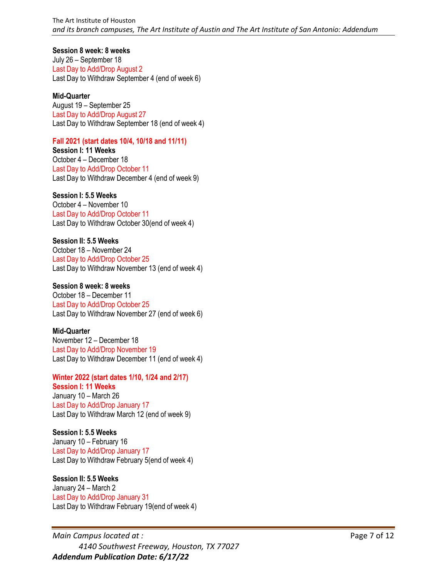### **Session 8 week: 8 weeks**

July 26 – September 18 Last Day to Add/Drop August 2 Last Day to Withdraw September 4 (end of week 6)

### **Mid-Quarter**

August 19 – September 25 Last Day to Add/Drop August 27 Last Day to Withdraw September 18 (end of week 4)

### **Fall 2021 (start dates 10/4, 10/18 and 11/11)**

**Session I: 11 Weeks** October 4 – December 18 Last Day to Add/Drop October 11 Last Day to Withdraw December 4 (end of week 9)

### **Session I: 5.5 Weeks**

October 4 – November 10 Last Day to Add/Drop October 11 Last Day to Withdraw October 30(end of week 4)

### **Session II: 5.5 Weeks**

October 18 – November 24 Last Day to Add/Drop October 25 Last Day to Withdraw November 13 (end of week 4)

### **Session 8 week: 8 weeks**

October 18 – December 11 Last Day to Add/Drop October 25 Last Day to Withdraw November 27 (end of week 6)

### **Mid-Quarter**

November 12 – December 18 Last Day to Add/Drop November 19 Last Day to Withdraw December 11 (end of week 4)

# **Winter 2022 (start dates 1/10, 1/24 and 2/17)**

### **Session I: 11 Weeks**

January 10 – March 26 Last Day to Add/Drop January 17 Last Day to Withdraw March 12 (end of week 9)

### **Session I: 5.5 Weeks**

January 10 – February 16 Last Day to Add/Drop January 17 Last Day to Withdraw February 5(end of week 4)

### **Session II: 5.5 Weeks**

January 24 – March 2 Last Day to Add/Drop January 31 Last Day to Withdraw February 19(end of week 4)

*Main Campus located at :* Page 7 of 12 *4140 Southwest Freeway, Houston, TX 77027 Addendum Publication Date: 6/17/22*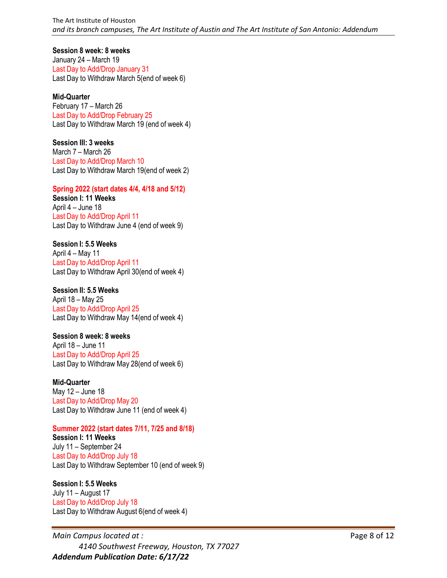**Session 8 week: 8 weeks**

January 24 – March 19 Last Day to Add/Drop January 31 Last Day to Withdraw March 5(end of week 6)

### **Mid-Quarter**

February 17 – March 26 Last Day to Add/Drop February 25 Last Day to Withdraw March 19 (end of week 4)

### **Session III: 3 weeks**

March 7 – March 26 Last Day to Add/Drop March 10 Last Day to Withdraw March 19(end of week 2)

### **Spring 2022 (start dates 4/4, 4/18 and 5/12) Session I: 11 Weeks**

April 4 – June 18 Last Day to Add/Drop April 11 Last Day to Withdraw June 4 (end of week 9)

# **Session I: 5.5 Weeks**

April 4 – May 11 Last Day to Add/Drop April 11 Last Day to Withdraw April 30(end of week 4)

### **Session II: 5.5 Weeks**

April 18 – May 25 Last Day to Add/Drop April 25 Last Day to Withdraw May 14(end of week 4)

# **Session 8 week: 8 weeks**

April 18 – June 11 Last Day to Add/Drop April 25 Last Day to Withdraw May 28(end of week 6)

### **Mid-Quarter**

May 12 – June 18 Last Day to Add/Drop May 20 Last Day to Withdraw June 11 (end of week 4)

### **Summer 2022 (start dates 7/11, 7/25 and 8/18)**

**Session I: 11 Weeks** July 11 – September 24 Last Day to Add/Drop July 18 Last Day to Withdraw September 10 (end of week 9)

### **Session I: 5.5 Weeks**

July 11 – August 17 Last Day to Add/Drop July 18 Last Day to Withdraw August 6(end of week 4)

*Main Campus located at :* Page 8 of 12 *4140 Southwest Freeway, Houston, TX 77027 Addendum Publication Date: 6/17/22*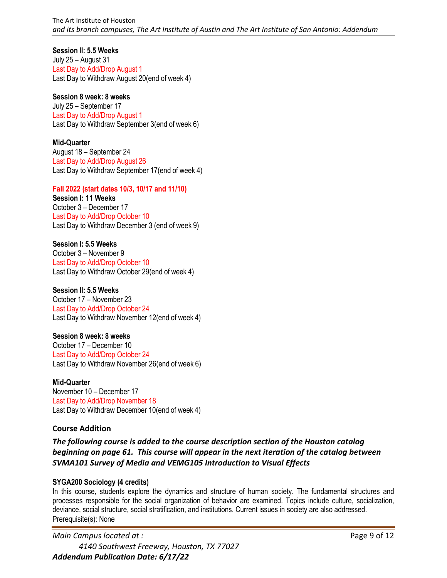### **Session II: 5.5 Weeks**

July 25 – August 31 Last Day to Add/Drop August 1 Last Day to Withdraw August 20(end of week 4)

### **Session 8 week: 8 weeks**

July 25 – September 17 Last Day to Add/Drop August 1 Last Day to Withdraw September 3(end of week 6)

### **Mid-Quarter**

August 18 – September 24 Last Day to Add/Drop August 26 Last Day to Withdraw September 17(end of week 4)

### **Fall 2022 (start dates 10/3, 10/17 and 11/10)**

**Session I: 11 Weeks** October 3 – December 17 Last Day to Add/Drop October 10 Last Day to Withdraw December 3 (end of week 9)

### **Session I: 5.5 Weeks** October 3 – November 9 Last Day to Add/Drop October 10 Last Day to Withdraw October 29(end of week 4)

**Session II: 5.5 Weeks** October 17 – November 23 Last Day to Add/Drop October 24 Last Day to Withdraw November 12(end of week 4)

### **Session 8 week: 8 weeks**

October 17 – December 10 Last Day to Add/Drop October 24 Last Day to Withdraw November 26(end of week 6)

**Mid-Quarter** November 10 – December 17 Last Day to Add/Drop November 18 Last Day to Withdraw December 10(end of week 4)

### <span id="page-8-0"></span>**Course Addition**

*The following course is added to the course description section of the Houston catalog beginning on page 61. This course will appear in the next iteration of the catalog between SVMA101 Survey of Media and VEMG105 Introduction to Visual Effects*

### **SYGA200 Sociology (4 credits)**

In this course, students explore the dynamics and structure of human society. The fundamental structures and processes responsible for the social organization of behavior are examined. Topics include culture, socialization, deviance, social structure, social stratification, and institutions. Current issues in society are also addressed. Prerequisite(s): None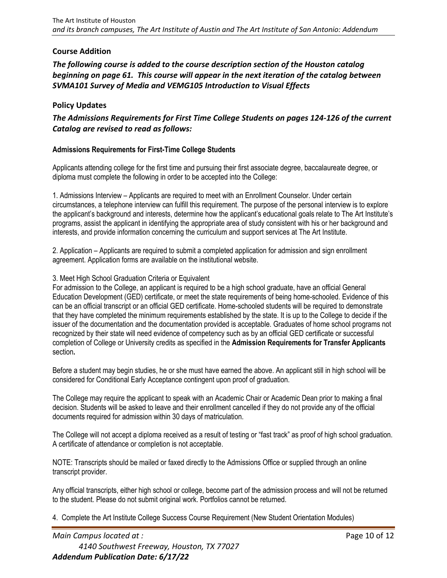### <span id="page-9-0"></span>**Course Addition**

*The following course is added to the course description section of the Houston catalog beginning on page 61. This course will appear in the next iteration of the catalog between SVMA101 Survey of Media and VEMG105 Introduction to Visual Effects*

### <span id="page-9-1"></span>**Policy Updates**

*The Admissions Requirements for First Time College Students on pages 124-126 of the current Catalog are revised to read as follows:*

### **Admissions Requirements for First-Time College Students**

Applicants attending college for the first time and pursuing their first associate degree, baccalaureate degree, or diploma must complete the following in order to be accepted into the College:

1. Admissions Interview – Applicants are required to meet with an Enrollment Counselor. Under certain circumstances, a telephone interview can fulfill this requirement. The purpose of the personal interview is to explore the applicant's background and interests, determine how the applicant's educational goals relate to The Art Institute's programs, assist the applicant in identifying the appropriate area of study consistent with his or her background and interests, and provide information concerning the curriculum and support services at The Art Institute.

2. Application – Applicants are required to submit a completed application for admission and sign enrollment agreement. Application forms are available on the institutional website.

### 3. Meet High School Graduation Criteria or Equivalent

For admission to the College, an applicant is required to be a high school graduate, have an official General Education Development (GED) certificate, or meet the state requirements of being home-schooled. Evidence of this can be an official transcript or an official GED certificate. Home-schooled students will be required to demonstrate that they have completed the minimum requirements established by the state. It is up to the College to decide if the issuer of the documentation and the documentation provided is acceptable. Graduates of home school programs not recognized by their state will need evidence of competency such as by an official GED certificate or successful completion of College or University credits as specified in the **Admission Requirements for Transfer Applicants**  section**.**

Before a student may begin studies, he or she must have earned the above. An applicant still in high school will be considered for Conditional Early Acceptance contingent upon proof of graduation.

The College may require the applicant to speak with an Academic Chair or Academic Dean prior to making a final decision. Students will be asked to leave and their enrollment cancelled if they do not provide any of the official documents required for admission within 30 days of matriculation.

The College will not accept a diploma received as a result of testing or "fast track" as proof of high school graduation. A certificate of attendance or completion is not acceptable.

NOTE: Transcripts should be mailed or faxed directly to the Admissions Office or supplied through an online transcript provider.

Any official transcripts, either high school or college, become part of the admission process and will not be returned to the student. Please do not submit original work. Portfolios cannot be returned.

4. Complete the Art Institute College Success Course Requirement (New Student Orientation Modules)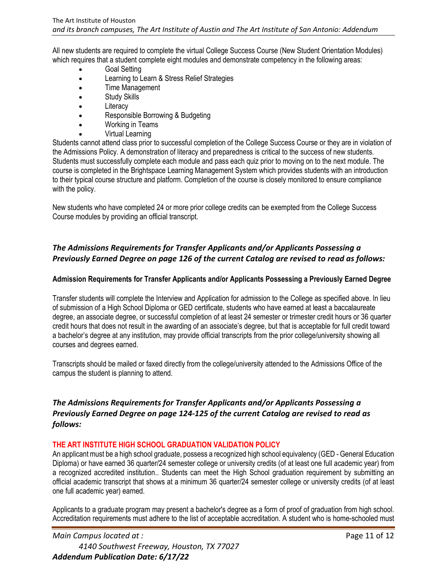All new students are required to complete the virtual College Success Course (New Student Orientation Modules) which requires that a student complete eight modules and demonstrate competency in the following areas:

- Goal Setting
- Learning to Learn & Stress Relief Strategies
- Time Management
- Study Skills
- Literacy
- Responsible Borrowing & Budgeting
- Working in Teams
- Virtual Learning

Students cannot attend class prior to successful completion of the College Success Course or they are in violation of the Admissions Policy. A demonstration of literacy and preparedness is critical to the success of new students. Students must successfully complete each module and pass each quiz prior to moving on to the next module. The course is completed in the Brightspace Learning Management System which provides students with an introduction to their typical course structure and platform. Completion of the course is closely monitored to ensure compliance with the policy.

New students who have completed 24 or more prior college credits can be exempted from the College Success Course modules by providing an official transcript.

# *The Admissions Requirements for Transfer Applicants and/or Applicants Possessing a Previously Earned Degree on page 126 of the current Catalog are revised to read as follows:*

### **Admission Requirements for Transfer Applicants and/or Applicants Possessing a Previously Earned Degree**

Transfer students will complete the Interview and Application for admission to the College as specified above. In lieu of submission of a High School Diploma or GED certificate, students who have earned at least a baccalaureate degree, an associate degree, or successful completion of at least 24 semester or trimester credit hours or 36 quarter credit hours that does not result in the awarding of an associate's degree, but that is acceptable for full credit toward a bachelor's degree at any institution, may provide official transcripts from the prior college/university showing all courses and degrees earned.

Transcripts should be mailed or faxed directly from the college/university attended to the Admissions Office of the campus the student is planning to attend.

# *The Admissions Requirements for Transfer Applicants and/or Applicants Possessing a Previously Earned Degree on page 124-125 of the current Catalog are revised to read as follows:*

### **THE ART INSTITUTE HIGH SCHOOL GRADUATION VALIDATION POLICY**

An applicant must be a high school graduate, possess a recognized high school equivalency (GED - General Education Diploma) or have earned 36 quarter/24 semester college or university credits (of at least one full academic year) from a recognized accredited institution.. Students can meet the High School graduation requirement by submitting an official academic transcript that shows at a minimum 36 quarter/24 semester college or university credits (of at least one full academic year) earned.

Applicants to a graduate program may present a bachelor's degree as a form of proof of graduation from high school. Accreditation requirements must adhere to the list of acceptable accreditation. A student who is home-schooled must